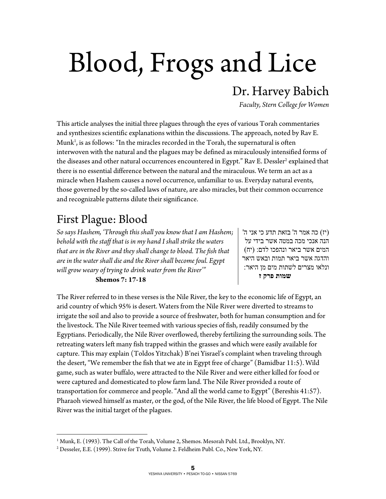# Blood, Frogs and Lice

## Dr. Harvey Babich

*Faculty, Stern College for Women* 

This article analyses the initial three plagues through the eyes of various Torah commentaries and synthesizes scientific explanations within the discussions. The approach, noted by Rav E. Munk<sup>1</sup>, is as follows: "In the miracles recorded in the Torah, the supernatural is often interwoven with the natural and the plagues may be defined as miraculously intensified forms of the diseases and other natural occurrences encountered in Egypt." Rav E. Dessler<sup>2</sup> explained that there is no essential difference between the natural and the miraculous. We term an act as a miracle when Hashem causes a novel occurrence, unfamiliar to us. Everyday natural events, those governed by the so-called laws of nature, are also miracles, but their common occurrence and recognizable patterns dilute their significance.

## First Plague: Blood

 $\overline{a}$ 

*So says Hashem, 'Through this shall you know that I am Hashem; behold with the staff that is in my hand I shall strike the waters that are in the River and they shall change to blood. The fish that are in the water shall die and the River shall become foul. Egypt will grow weary of trying to drink water from the River'"*

#### **Shemos 7: 17-18**

(יז) כה אמר ה' בזאת תדע כי אני ה' הנה אנכי מכה במטה אשר בידי על המים אשר ביאר ונהפכו לדם: (יח) והדגה אשר ביאר תמות ובאש היאר ונלאו מצרים לשתות מים מן היאר:  **שמות פרק ז**

The River referred to in these verses is the Nile River, the key to the economic life of Egypt, an arid country of which 95% is desert. Waters from the Nile River were diverted to streams to irrigate the soil and also to provide a source of freshwater, both for human consumption and for the livestock. The Nile River teemed with various species of fish, readily consumed by the Egyptians. Periodically, the Nile River overflowed, thereby fertilizing the surrounding soils. The retreating waters left many fish trapped within the grasses and which were easily available for capture. This may explain (Toldos Yitzchak) B'nei Yisrael's complaint when traveling through the desert, "We remember the fish that we ate in Egypt free of charge" (Bamidbar 11:5). Wild game, such as water buffalo, were attracted to the Nile River and were either killed for food or were captured and domesticated to plow farm land. The Nile River provided a route of transportation for commerce and people. "And all the world came to Egypt" (Bereshis 41:57). Pharaoh viewed himself as master, or the god, of the Nile River, the life blood of Egypt. The Nile River was the initial target of the plagues.

<sup>&</sup>lt;sup>1</sup> Munk, E. (1993). The Call of the Torah, Volume 2, Shemos. Mesorah Publ. Ltd., Brooklyn, NY.<br><sup>2</sup> Desseler, E.E. (1999). Strive for Truth. Volume 2, Feldheim Publ. Co., New York, NV.

Desseler, E.E. (1999). Strive for Truth, Volume 2. Feldheim Publ. Co., New York, NY.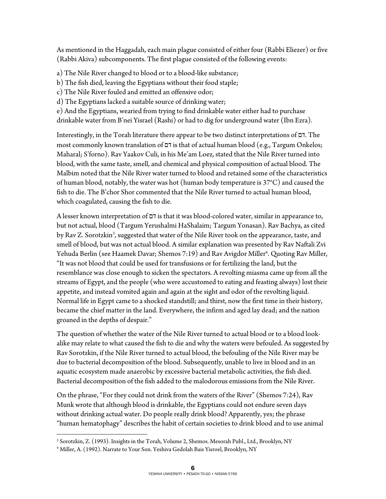As mentioned in the Haggadah, each main plague consisted of either four (Rabbi Eliezer) or five (Rabbi Akiva) subcomponents. The first plague consisted of the following events:

a) The Nile River changed to blood or to a blood-like substance;

b) The fish died, leaving the Egyptians without their food staple;

c) The Nile River fouled and emitted an offensive odor;

d) The Egyptians lacked a suitable source of drinking water;

e) And the Egyptians, wearied from trying to find drinkable water either had to purchase drinkable water from B'nei Yisrael (Rashi) or had to dig for underground water (Ibn Ezra).

Interestingly, in the Torah literature there appear to be two distinct interpretations of דם. The most commonly known translation of דם is that of actual human blood (e.g., Targum Onkelos; Maharal; S'forno). Rav Yaakov Culi, in his Me'am Loez, stated that the Nile River turned into blood, with the same taste, smell, and chemical and physical composition of actual blood. The Malbim noted that the Nile River water turned to blood and retained some of the characteristics of human blood, notably, the water was hot (human body temperature is 37°C) and caused the fish to die. The B'chor Shor commented that the Nile River turned to actual human blood, which coagulated, causing the fish to die.

A lesser known interpretation of דם is that it was blood-colored water, similar in appearance to, but not actual, blood (Targum Yerushalmi HaShalaim; Targum Yonasan). Rav Bachya, as cited by Rav Z. Sorotzkin<sup>3</sup>, suggested that water of the Nile River took on the appearance, taste, and smell of blood, but was not actual blood. A similar explanation was presented by Rav Naftali Zvi Yehuda Berlin (see Haamek Davar; Shemos 7:19) and Rav Avigdor Miller<sup>4</sup>. Quoting Rav Miller, "It was not blood that could be used for transfusions or for fertilizing the land, but the resemblance was close enough to sicken the spectators. A revolting miasma came up from all the streams of Egypt, and the people (who were accustomed to eating and feasting always) lost their appetite, and instead vomited again and again at the sight and odor of the revolting liquid. Normal life in Egypt came to a shocked standstill; and thirst, now the first time in their history, became the chief matter in the land. Everywhere, the infirm and aged lay dead; and the nation groaned in the depths of despair."

The question of whether the water of the Nile River turned to actual blood or to a blood lookalike may relate to what caused the fish to die and why the waters were befouled. As suggested by Rav Sorotzkin, if the Nile River turned to actual blood, the befouling of the Nile River may be due to bacterial decomposition of the blood. Subsequently, unable to live in blood and in an aquatic ecosystem made anaerobic by excessive bacterial metabolic activities, the fish died. Bacterial decomposition of the fish added to the malodorous emissions from the Nile River.

On the phrase, "For they could not drink from the waters of the River" (Shemos 7:24), Rav Munk wrote that although blood is drinkable, the Egyptians could not endure seven days without drinking actual water. Do people really drink blood? Apparently, yes; the phrase "human hematophagy" describes the habit of certain societies to drink blood and to use animal

 $\overline{a}$ <sup>3</sup> Sorotzkin, Z. (1993). Insights in the Torah, Volume 2, Shemos. Mesorah Publ., Ltd., Brooklyn, NY<br><sup>4</sup> Miller, A. (1992). Narrate to Your Son, Veshiva Gedolah Bais Visroel, Brooklyn, NY

<sup>&</sup>lt;sup>4</sup> Miller, A. (1992). Narrate to Your Son. Yeshiva Gedolah Bais Yisroel, Brooklyn, NY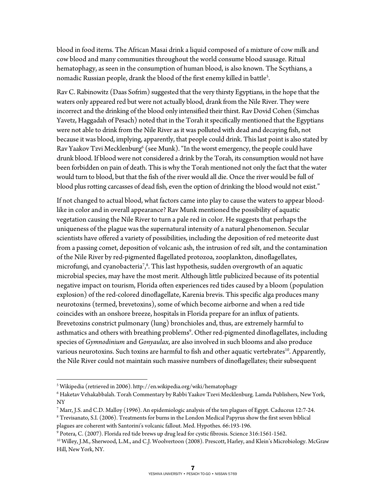blood in food items. The African Masai drink a liquid composed of a mixture of cow milk and cow blood and many communities throughout the world consume blood sausage. Ritual hematophagy, as seen in the consumption of human blood, is also known. The Scythians, a nomadic Russian people, drank the blood of the first enemy killed in battle<sup>s</sup>.

Rav C. Rabinowitz (Daas Sofrim) suggested that the very thirsty Egyptians, in the hope that the waters only appeared red but were not actually blood, drank from the Nile River. They were incorrect and the drinking of the blood only intensified their thirst. Rav Dovid Cohen (Simchas Yavetz, Haggadah of Pesach) noted that in the Torah it specifically mentioned that the Egyptians were not able to drink from the Nile River as it was polluted with dead and decaying fish, not because it was blood, implying, apparently, that people could drink. This last point is also stated by Rav Yaakov Tzvi Mecklenburg $^6$  (see Munk). "In the worst emergency, the people could have drunk blood. If blood were not considered a drink by the Torah, its consumption would not have been forbidden on pain of death. This is why the Torah mentioned not only the fact that the water would turn to blood, but that the fish of the river would all die. Once the river would be full of blood plus rotting carcasses of dead fish, even the option of drinking the blood would not exist."

If not changed to actual blood, what factors came into play to cause the waters to appear bloodlike in color and in overall appearance? Rav Munk mentioned the possibility of aquatic vegetation causing the Nile River to turn a pale red in color. He suggests that perhaps the uniqueness of the plague was the supernatural intensity of a natural phenomenon. Secular scientists have offered a variety of possibilities, including the deposition of red meteorite dust from a passing comet, deposition of volcanic ash, the intrusion of red silt, and the contamination of the Nile River by red-pigmented flagellated protozoa, zooplankton, dinoflagellates, microfungi, and cyanobacteria<sup>7</sup>, $^8$ . This last hypothesis, sudden overgrowth of an aquatic microbial species, may have the most merit. Although little publicized because of its potential negative impact on tourism, Florida often experiences red tides caused by a bloom (population explosion) of the red-colored dinoflagellate, Karenia brevis. This specific alga produces many neurotoxins (termed, brevetoxins), some of which become airborne and when a red tide coincides with an onshore breeze, hospitals in Florida prepare for an influx of patients. Brevetoxins constrict pulmonary (lung) bronchioles and, thus, are extremely harmful to asthmatics and others with breathing problems<sup>9</sup>. Other red-pigmented dinoflagellates, including species of *Gymnodinium* and *Gonyaulax*, are also involved in such blooms and also produce various neurotoxins. Such toxins are harmful to fish and other aquatic vertebrates<sup>10</sup>. Apparently, the Nile River could not maintain such massive numbers of dinoflagellates; their subsequent

 $\overline{a}$ 

<sup>&</sup>lt;sup>5</sup> Wikipedia (retrieved in 2006). http://en.wikipedia.org/wiki/hematophagy<br><sup>6</sup> Haketay Vehakabbalah, Torah Commentary by Rabbi Yaakoy Tzevi Meckle

Haketav Vehakabbalah. Torah Commentary by Rabbi Yaakov Tzevi Mecklenburg. Lamda Publishers, New York, NY

 $^7$  Marr, J.S. and C.D. Malloy (1996). An epidemiologic analysis of the ten plagues of Egypt. Caduceus 12:7-24.<br><sup>8</sup> Trevisanato, S.J. (2006). Treatments for burns in the London Medical Papyrus show the first seven biblic

Trevisanato, S.I. (2006). Treatments for burns in the London Medical Papyrus show the first seven biblical plagues are coherent with Santorini's volcanic fallout. Med. Hypothes. 66:193-196.<br><sup>9</sup> Potera, C. (2007). Florida red tide brews up drug lead for cystic fibrosis. Science 316:1561-1562.

<sup>&</sup>lt;sup>10</sup> Willey, J.M., Sherwood, L.M., and C.J. Woolvertoon (2008). Prescott, Harley, and Klein's Microbiology. McGraw Hill, New York, NY.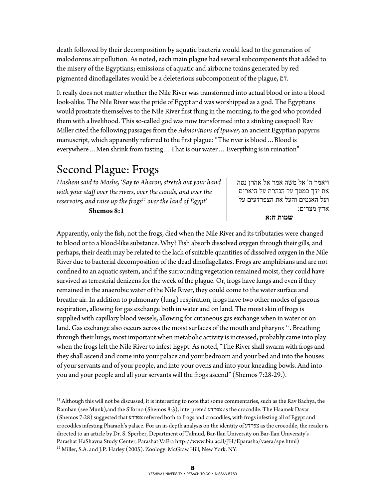death followed by their decomposition by aquatic bacteria would lead to the generation of malodorous air pollution. As noted, each main plague had several subcomponents that added to the misery of the Egyptians; emissions of aquatic and airborne toxins generated by red pigmented dinoflagellates would be a deleterious subcomponent of the plague, דם.

It really does not matter whether the Nile River was transformed into actual blood or into a blood look-alike. The Nile River was the pride of Egypt and was worshipped as a god. The Egyptians would prostrate themselves to the Nile River first thing in the morning, to the god who provided them with a livelihood. This so-called god was now transformed into a stinking cesspool! Rav Miller cited the following passages from the *Admonitions of Ipuwer,* an ancient Egyptian papyrus manuscript, which apparently referred to the first plague: "The river is blood…Blood is everywhere…Men shrink from tasting…That is our water… Everything is in ruination"

## Second Plague: Frogs

 $\overline{a}$ 

*Hashem said to Moshe, 'Say to Aharon, stretch out your hand with your staff over the rivers, over the canals, and over the*  reservoirs, and raise up the frogs<sup>11</sup> over the land of Egypt'  **Shemos 8:1** 

ויאמר ה' אל משה אמר אל אהרן נטה את ידך במטך על הנהרת על היארים ועל האגמים והעל את הצפרדעים על ארץ מצרים:

 **שמות ח:א**

Apparently, only the fish, not the frogs, died when the Nile River and its tributaries were changed to blood or to a blood-like substance. Why? Fish absorb dissolved oxygen through their gills, and perhaps, their death may be related to the lack of suitable quantities of dissolved oxygen in the Nile River due to bacterial decomposition of the dead dinoflagellates. Frogs are amphibians and are not confined to an aquatic system, and if the surrounding vegetation remained moist, they could have survived as terrestrial denizens for the week of the plague. Or, frogs have lungs and even if they remained in the anaerobic water of the Nile River, they could come to the water surface and breathe air. In addition to pulmonary (lung) respiration, frogs have two other modes of gaseous respiration, allowing for gas exchange both in water and on land. The moist skin of frogs is supplied with capillary blood vessels, allowing for cutaneous gas exchange when in water or on land. Gas exchange also occurs across the moist surfaces of the mouth and pharynx  $^{12}$ . Breathing through their lungs, most important when metabolic activity is increased, probably came into play when the frogs left the Nile River to infest Egypt. As noted, "The River shall swarm with frogs and they shall ascend and come into your palace and your bedroom and your bed and into the houses of your servants and of your people, and into your ovens and into your kneading bowls. And into you and your people and all your servants will the frogs ascend" (Shemos 7:28-29.).

 $11$  Although this will not be discussed, it is interesting to note that some commentaries, such as the Rav Bachya, the Ramban (see Munk),and the S'forno (Shemos 8:3), interpreted צפרדע as the crocodile. The Haamek Davar (Shemos 7:28) suggested that צפרדע referred both to frogs and crocodiles, with frogs infesting all of Egypt and crocodiles infesting Pharaoh's palace. For an in-depth analysis on the identity of צפרדע as the crocodile, the reader is directed to an article by Dr. S. Sperber, Department of Talmud, Bar-Ilan University on Bar-Ilan University's Parashat HaShavua Study Center, Parashat VaEra http://www.biu.ac.il/JH/Eparasha/vaera/spe.html) 12 Miller, S.A. and J.P. Harley (2005). Zoology. McGraw Hill, New York, NY.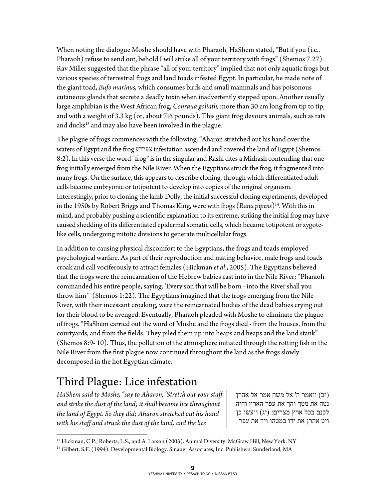When noting the dialogue Moshe should have with Pharaoh, HaShem stated, "But if you (i.e., Pharaoh) refuse to send out, behold I will strike all of your territory with frogs" (Shemos 7:27). Rav Miller suggested that the phrase "all of your territory" implied that not only aquatic frogs but various species of terrestrial frogs and land toads infested Egypt. In particular, he made note of the giant toad, *Bufo marinus,* which consumes birds and small mammals and has poisonous cutaneous glands that secrete a deadly toxin when inadvertently stepped upon. Another usually large amphibian is the West African frog, *Conraua goliath,* more than 30 cm long from tip to tip, and with a weight of 3.3 kg (or, about  $7\frac{1}{2}$  pounds). This giant frog devours animals, such as rats and ducks<sup>13</sup> and may also have been involved in the plague.

The plague of frogs commences with the following, "Aharon stretched out his hand over the waters of Egypt and the frog צפרדע infestation ascended and covered the land of Egypt (Shemos 8:2). In this verse the word "frog" is in the singular and Rashi cites a Midrash contending that one frog initially emerged from the Nile River. When the Egyptians struck the frog, it fragmented into many frogs. On the surface, this appears to describe cloning, through which differentiated adult cells become embryonic or totipotent to develop into copies of the original organism. Interestingly, prior to cloning the lamb Dolly, the initial successful cloning experiments, developed in the 1950s by Robert Briggs and Thomas King, were with frogs (*Rana pipens*)14. With this in mind, and probably pushing a scientific explanation to its extreme, striking the initial frog may have caused shedding of its differentiated epidermal somatic cells, which became totipotent or zygotelike cells, undergoing mitotic divisions to generate multicellular frogs.

In addition to causing physical discomfort to the Egyptians, the frogs and toads employed psychological warfare. As part of their reproduction and mating behavior, male frogs and toads croak and call vociferously to attract females (Hickman *et al*., 2005). The Egyptians believed that the frogs were the reincarnation of the Hebrew babies cast into in the Nile River; "Pharaoh commanded his entire people, saying, 'Every son that will be born - into the River shall you throw him'" (Shemos 1:22). The Egyptians imagined that the frogs emerging from the Nile River, with their incessant croaking, were the reincarnated bodies of the dead babies crying out for their blood to be avenged. Eventually, Pharaoh pleaded with Moshe to eliminate the plague of frogs. "HaShem carried out the word of Moshe and the frogs died - from the houses, from the courtyards, and from the fields. They piled them up into heaps and heaps and the land stank" (Shemos 8:9- 10). Thus, the pollution of the atmosphere initiated through the rotting fish in the Nile River from the first plague now continued throughout the land as the frogs slowly decomposed in the hot Egyptian climate.

# Third Plague: Lice infestation

*HaShem said to Moshe, "say to Aharon, 'Stretch out your staff and strike the dust of the land; it shall become lice throughout the land of Egypt. So they did; Aharon stretched out his hand with his staff and struck the dust of the land, and the lice* 

(יב) ויאמר ה' אל משה אמר אל אהרן נטה את מטך והך את עפר הארץ והיה לכנם בכל ארץ מצרים: (יג) ויעשו כן ויט אהרן את ידו במטהו ויך את עפר

 $\overline{a}$ <sup>13</sup> Hickman, C.P., Roberts, L.S., and A. Larson (2003). Animal Diversity. McGraw Hill, New York, NY<br><sup>14</sup> Gilbert, S.F. (1994). Developmental Biology. Sinauer Associates, Inc. Publishers, Sunderland, MA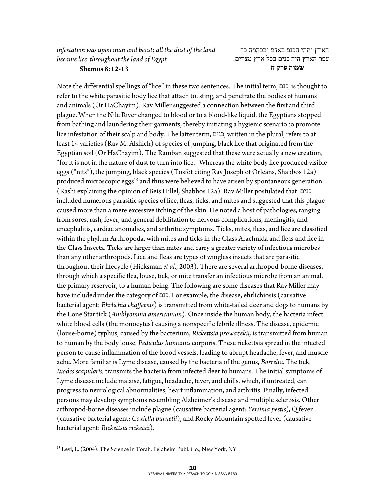**Shemos 8:12-13** 

הארץ ותהי הכנם באדם ובבהמה כל עפר הארץ היה כנים בכל ארץ מצרים:  **שמות פרק ח**

Note the differential spellings of "lice" in these two sentences. The initial term, כנם, is thought to refer to the white parasitic body lice that attach to, sting, and penetrate the bodies of humans and animals (Or HaChayim). Rav Miller suggested a connection between the first and third plague. When the Nile River changed to blood or to a blood-like liquid, the Egyptians stopped from bathing and laundering their garments, thereby initiating a hygienic scenario to promote lice infestation of their scalp and body. The latter term, כנים, written in the plural, refers to at least 14 varieties (Rav M. Alshich) of species of jumping, black lice that originated from the Egyptian soil (Or HaChayim). The Ramban suggested that these were actually a new creation, "for it is not in the nature of dust to turn into lice." Whereas the white body lice produced visible eggs ("nits"), the jumping, black species (Tosfot citing Rav Joseph of Orleans, Shabbos 12a) produced microscopic eggs<sup>15</sup> and thus were believed to have arisen by spontaneous generation (Rashi explaining the opinion of Beis Hillel, Shabbos 12a). Rav Miller postulated that כנים included numerous parasitic species of lice, fleas, ticks, and mites and suggested that this plague caused more than a mere excessive itching of the skin. He noted a host of pathologies, ranging from sores, rash, fever, and general debilitation to nervous complications, meningitis, and encephalitis, cardiac anomalies, and arthritic symptoms. Ticks, mites, fleas, and lice are classified within the phylum Arthropoda, with mites and ticks in the Class Arachnida and fleas and lice in the Class Insecta. Ticks are larger than mites and carry a greater variety of infectious microbes than any other arthropods. Lice and fleas are types of wingless insects that are parasitic throughout their lifecycle (Hicksman *et al*., 2003). There are several arthropod-borne diseases, through which a specific flea, louse, tick, or mite transfer an infectious microbe from an animal, the primary reservoir, to a human being. The following are some diseases that Rav Miller may have included under the category of כנם. For example, the disease, ehrlichiosis (causative bacterial agent: *Ehrlichia chaffeenis*) is transmitted from white-tailed deer and dogs to humans by the Lone Star tick (*Amblyomma americanum*). Once inside the human body, the bacteria infect white blood cells (the monocytes) causing a nonspecific febrile illness. The disease, epidemic (louse-borne) typhus, caused by the bacterium, *Rickettsia prowazekii,* is transmitted from human to human by the body louse, *Pediculus humanus* corporis. These rickettsia spread in the infected person to cause inflammation of the blood vessels, leading to abrupt headache, fever, and muscle ache. More familiar is Lyme disease, caused by the bacteria of the genus, *Borrelia.* The tick, *Ixodes scapularis,* transmits the bacteria from infected deer to humans. The initial symptoms of Lyme disease include malaise, fatigue, headache, fever, and chills, which, if untreated, can progress to neurological abnormalities, heart inflammation, and arthritis. Finally, infected persons may develop symptoms resembling Alzheimer's disease and multiple sclerosis. Other arthropod-borne diseases include plague (causative bacterial agent: *Yersinia pestis*), Q fever (causative bacterial agent: *Coxiella burnetii*), and Rocky Mountain spotted fever (causative bacterial agent: *Rickettsia ricketsii*).

 $\overline{a}$ 

<sup>&</sup>lt;sup>15</sup> Levi, L. (2004). The Science in Torah. Feldheim Publ. Co., New York, NY.